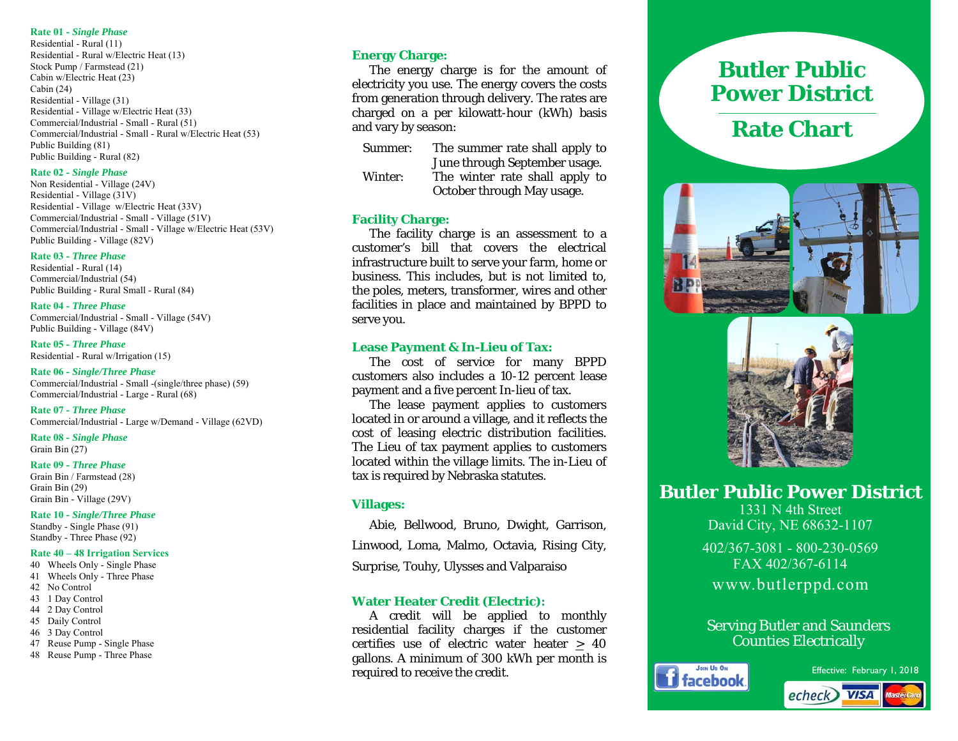#### **Rate 01 -** *Single Phase*

Residential - Rural (11) Residential - Rural w/Electric Heat (13) Stock Pump / Farmstead (21) Cabin w/Electric Heat (23) Cabin (24) Residential - Village (31) Residential - Village w/Electric Heat (33) Commercial/Industrial - Small - Rural (51) Commercial/Industrial - Small - Rural w/Electric Heat (53) Public Building (81) Public Building - Rural (82)

#### **Rate 02 -** *Single Phase*

Non Residential - Village (24V) Residential - Village (31V) Residential - Village w/Electric Heat (33V) Commercial/Industrial - Small - Village (51V) Commercial/Industrial - Small - Village w/Electric Heat (53V) Public Building - Village (82V)

#### **Rate 03 -** *Three Phase*

Residential - Rural (14) Commercial/Industrial (54) Public Building - Rural Small - Rural (84)

#### **Rate 04 -** *Three Phase*

Commercial/Industrial - Small - Village (54V) Public Building - Village (84V)

**Rate 05 -** *Three Phase*  Residential - Rural w/Irrigation (15)

**Rate 06 -** *Single/Three Phase*  Commercial/Industrial - Small -(single/three phase) (59) Commercial/Industrial - Large - Rural (68)

**Rate 07 -** *Three Phase* Commercial/Industrial - Large w/Demand - Village (62VD)

**Rate 08 -** *Single Phase*  Grain Bin (27)

#### **Rate 09 -** *Three Phase*

Grain Bin / Farmstead (28) Grain Bin (29) Grain Bin - Village (29V)

**Rate 10 -** *Single/Three Phase* Standby - Single Phase (91) Standby - Three Phase (92)

#### **Rate 40 – 48 Irrigation Services**

- 40 Wheels Only Single Phase 41 Wheels Only - Three Phase 42 No Control 43 1 Day Control
- 44 2 Day Control
- 45 Daily Control
- 46 3 Day Control
- 47 Reuse Pump Single Phase
- 48 Reuse Pump Three Phase

## **Energy Charge:**

 The energy charge is for the amount of electricity you use. The energy covers the costs from generation through delivery. The rates are charged on a per kilowatt-hour (kWh) basis and vary by season:

- Summer: The summer rate shall apply to June through September usage. Winter: The winter rate shall apply to
	- October through May usage.

## **Facility Charge:**

The facility charge is an assessment to a customer's bill that covers the electrical infrastructure built to serve your farm, home or business. This includes, but is not limited to, the poles, meters, transformer, wires and other facilities in place and maintained by BPPD to serve you.

#### **Lease Payment & In-Lieu of Tax:**

The cost of service for many BPPD customers also includes a 10-12 percent lease payment and a five percent In-lieu of tax.

 The lease payment applies to customers located in or around a village, and it reflects the cost of leasing electric distribution facilities. The Lieu of tax payment applies to customers located within the village limits. The in-Lieu of tax is required by Nebraska statutes.

### **Villages:**

 Abie, Bellwood, Bruno, Dwight, Garrison, Linwood, Loma, Malmo, Octavia, Rising City, Surprise, Touhy, Ulysses and Valparaiso

# **Water Heater Credit (Electric):**

 A credit will be applied to monthly residential facility charges if the customer certifies use of electric water heater  $\geq 40$ gallons. A minimum of 300 kWh per month is required to receive the credit.

# **Butler Public Power District**

# **Rate Chart**





**Butler Public Power District** 

1331 N 4th Street David City, NE 68632-1107

402/367-3081 - 800-230-0569 FAX 402/367-6114 www.butlerppd.com

# Serving Butler and Saunders Counties Electrically



Effective: February 1, 2018